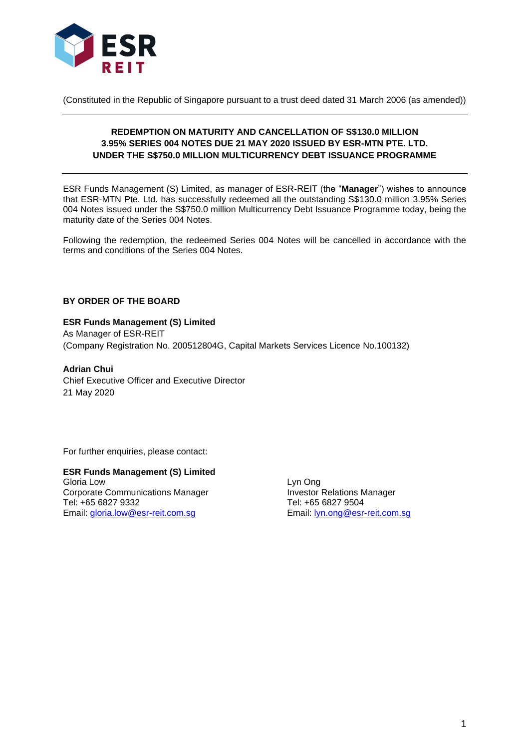

(Constituted in the Republic of Singapore pursuant to a trust deed dated 31 March 2006 (as amended))

# **REDEMPTION ON MATURITY AND CANCELLATION OF S\$130.0 MILLION 3.95% SERIES 004 NOTES DUE 21 MAY 2020 ISSUED BY ESR-MTN PTE. LTD. UNDER THE S\$750.0 MILLION MULTICURRENCY DEBT ISSUANCE PROGRAMME**

ESR Funds Management (S) Limited, as manager of ESR-REIT (the "**Manager**") wishes to announce that ESR-MTN Pte. Ltd. has successfully redeemed all the outstanding S\$130.0 million 3.95% Series 004 Notes issued under the S\$750.0 million Multicurrency Debt Issuance Programme today, being the maturity date of the Series 004 Notes.

Following the redemption, the redeemed Series 004 Notes will be cancelled in accordance with the terms and conditions of the Series 004 Notes.

## **BY ORDER OF THE BOARD**

#### **ESR Funds Management (S) Limited**

As Manager of ESR-REIT (Company Registration No. 200512804G, Capital Markets Services Licence No.100132)

**Adrian Chui** Chief Executive Officer and Executive Director 21 May 2020

For further enquiries, please contact:

**ESR Funds Management (S) Limited** Gloria Low<br>Corporate Communications Manager **Corporations Corporations Corporations**<br>Corporate Communications Manager Corporate Communications Manager Investor Relations N<br>
Tel: +65 6827 9332 Tel: +65 6827 9504 Tel: +65 6827 9332<br>
Email: gloria.low@esr-reit.com.sg<br>
Email: lyn.ong@esr-reit.com.sg Email: [gloria.low@esr-reit.com.sg](mailto:gloria.low@esr-reit.com.sg)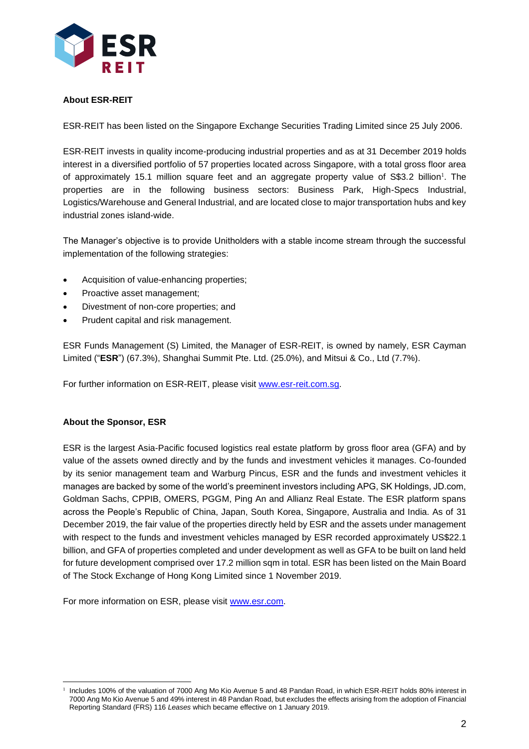

# **About ESR-REIT**

ESR-REIT has been listed on the Singapore Exchange Securities Trading Limited since 25 July 2006.

ESR-REIT invests in quality income-producing industrial properties and as at 31 December 2019 holds interest in a diversified portfolio of 57 properties located across Singapore, with a total gross floor area of approximately 15.1 million square feet and an aggregate property value of S\$3.2 billion<sup>1</sup>. The properties are in the following business sectors: Business Park, High-Specs Industrial, Logistics/Warehouse and General Industrial, and are located close to major transportation hubs and key industrial zones island-wide.

The Manager's objective is to provide Unitholders with a stable income stream through the successful implementation of the following strategies:

- Acquisition of value-enhancing properties;
- Proactive asset management;
- Divestment of non-core properties; and
- Prudent capital and risk management.

ESR Funds Management (S) Limited, the Manager of ESR-REIT, is owned by namely, ESR Cayman Limited ("**ESR**") (67.3%), Shanghai Summit Pte. Ltd. (25.0%), and Mitsui & Co., Ltd (7.7%).

For further information on ESR-REIT, please visit [www.esr-reit.com.sg.](http://www.esr-reit.com.sg/)

### **About the Sponsor, ESR**

ESR is the largest Asia-Pacific focused logistics real estate platform by gross floor area (GFA) and by value of the assets owned directly and by the funds and investment vehicles it manages. Co-founded by its senior management team and Warburg Pincus, ESR and the funds and investment vehicles it manages are backed by some of the world's preeminent investors including APG, SK Holdings, JD.com, Goldman Sachs, CPPIB, OMERS, PGGM, Ping An and Allianz Real Estate. The ESR platform spans across the People's Republic of China, Japan, South Korea, Singapore, Australia and India. As of 31 December 2019, the fair value of the properties directly held by ESR and the assets under management with respect to the funds and investment vehicles managed by ESR recorded approximately US\$22.1 billion, and GFA of properties completed and under development as well as GFA to be built on land held for future development comprised over 17.2 million sqm in total. ESR has been listed on the Main Board of The Stock Exchange of Hong Kong Limited since 1 November 2019.

For more information on ESR, please visit [www.esr.com.](https://apc01.safelinks.protection.outlook.com/?url=http%3A%2F%2Fwww.esr.com&data=02%7C01%7Cgloria.low%40esr-reit.com.sg%7Cb18ed7da682643de8b7008d766916f05%7C6ed733c0622d401d8f49b2984c7d765f%7C0%7C0%7C637090647129612986&sdata=hiUu8gk6thHcFkbiXEp08i9y2Ux64on2c0ivRFvmSek%3D&reserved=0)

<sup>1</sup> Includes 100% of the valuation of 7000 Ang Mo Kio Avenue 5 and 48 Pandan Road, in which ESR-REIT holds 80% interest in 7000 Ang Mo Kio Avenue 5 and 49% interest in 48 Pandan Road, but excludes the effects arising from the adoption of Financial Reporting Standard (FRS) 116 *Leases* which became effective on 1 January 2019.